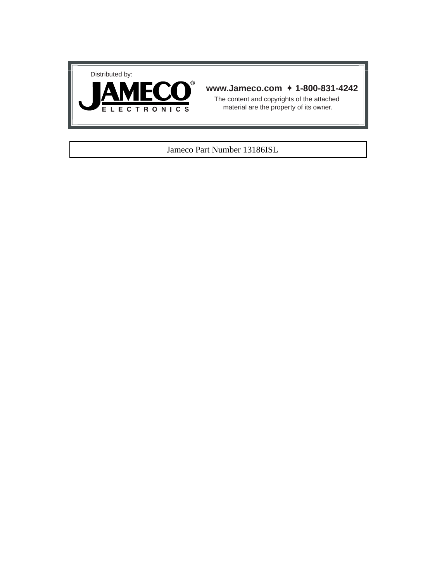



# **www.Jameco.com** ✦ **1-800-831-4242**

The content and copyrights of the attached material are the property of its owner.

# Jameco Part Number 13186ISL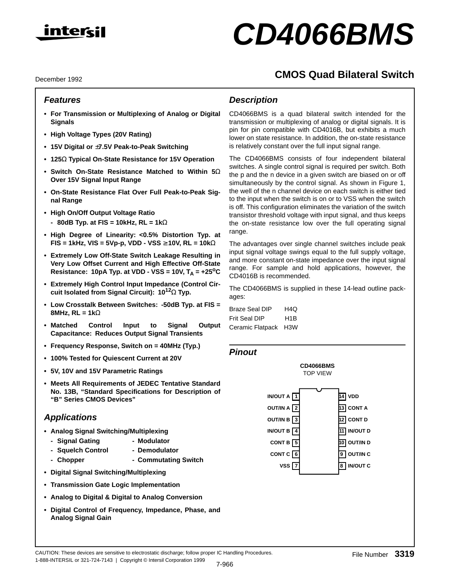

# **CD4066BMS**

**CMOS Quad Bilateral Switch**

#### December 1992

# **Features**

- **For Transmission or Multiplexing of Analog or Digital Signals**
- **High Voltage Types (20V Rating)**
- **15V Digital or** ±**7.5V Peak-to-Peak Switching**
- **125**Ω **Typical On-State Resistance for 15V Operation**
- **Switch On-State Resistance Matched to Within 5**Ω **Over 15V Signal Input Range**
- **On-State Resistance Flat Over Full Peak-to-Peak Signal Range**
- **High On/Off Output Voltage Ratio - 80dB Typ. at FIS = 10kHz, RL = 1k**Ω
- **High Degree of Linearity: <0.5% Distortion Typ. at FIS = 1kHz, VIS = 5Vp-p, VDD - VSS** ≥ **10V, RL = 10k**Ω
- **Extremely Low Off-State Switch Leakage Resulting in Very Low Offset Current and High Effective Off-State** Resistance: 10pA Typ. at VDD - VSS = 10V,  $T_A$  =  $+25^{\circ}$ C
- **Extremely High Control Input Impedance (Control Circuit Isolated from Signal Circuit): 1012**Ω **Typ.**
- **Low Crosstalk Between Switches: -50dB Typ. at FIS = 8MHz, RL = 1k**Ω
- **Matched Control Input to Signal Output Capacitance: Reduces Output Signal Transients**
- **Frequency Response, Switch on = 40MHz (Typ.)**
- **100% Tested for Quiescent Current at 20V**
- **5V, 10V and 15V Parametric Ratings**
- **Meets All Requirements of JEDEC Tentative Standard No. 13B, "Standard Specifications for Description of "B" Series CMOS Devices"**

# **Applications**

- **Analog Signal Switching/Multiplexing**
	- **Signal Gating Modulator**
	- **Squelch Control Demodulator**
	- Chopper  **Commutating Switch**
- **Digital Signal Switching/Multiplexing**
- **Transmission Gate Logic Implementation**
- **Analog to Digital & Digital to Analog Conversion**

1-888-INTERSIL or 321-724-7143 | Copyright © Intersil Corporation 1999

**• Digital Control of Frequency, Impedance, Phase, and Analog Signal Gain**

# **Description**

CD4066BMS is a quad bilateral switch intended for the transmission or multiplexing of analog or digital signals. It is pin for pin compatible with CD4016B, but exhibits a much lower on state resistance. In addition, the on-state resistance is relatively constant over the full input signal range.

The CD4066BMS consists of four independent bilateral switches. A single control signal is required per switch. Both the p and the n device in a given switch are biased on or off simultaneously by the control signal. As shown in Figure 1, the well of the n channel device on each switch is either tied to the input when the switch is on or to VSS when the switch is off. This configuration eliminates the variation of the switch transistor threshold voltage with input signal, and thus keeps the on-state resistance low over the full operating signal range.

The advantages over single channel switches include peak input signal voltage swings equal to the full supply voltage, and more constant on-state impedance over the input signal range. For sample and hold applications, however, the CD4016B is recommended.

The CD4066BMS is supplied in these 14-lead outline packages:

| Braze Seal DIP   | H4Q              |
|------------------|------------------|
| Frit Seal DIP    | H <sub>1</sub> B |
| Ceramic Flatpack | H <sub>3</sub> W |

## **Pinout**

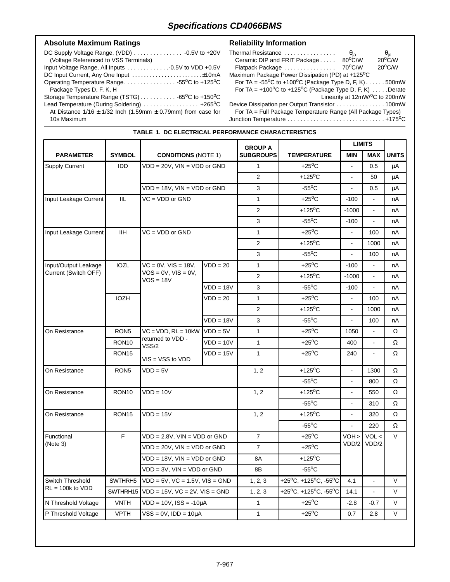**TABLE 1. DC ELECTRICAL PERFORMANCE CHARACTERISTICS**

# Absolute Maximum Ratings **Reliability Information**

| (Voltage Referenced to VSS Terminals)                                |
|----------------------------------------------------------------------|
|                                                                      |
|                                                                      |
| Operating Temperature Range55°C to +125°C                            |
| Package Types D, F, K, H                                             |
|                                                                      |
| Lead Temperature (During Soldering)  +265 <sup>o</sup> C             |
| At Distance $1/16 \pm 1/32$ lnch (1.59mm $\pm$ 0.79mm) from case for |
| 10s Maximum                                                          |

| Thermal Resistance                                                           | $\theta_{\sf ja}$ |                                                 |
|------------------------------------------------------------------------------|-------------------|-------------------------------------------------|
| Ceramic DIP and FRIT Package                                                 | 80°C/W            | $\frac{\theta_{\rm jc}}{20^{\circ} \text{C/W}}$ |
| Flatpack Package                                                             | 70°C/W            | $20^{\circ}$ C/W                                |
| Maximum Package Power Dissipation (PD) at +125°C                             |                   |                                                 |
| For TA = $-55^{\circ}$ C to $+100^{\circ}$ C (Package Type D, F, K)500mW     |                   |                                                 |
| For TA = $+100^{\circ}$ C to $+125^{\circ}$ C (Package Type D, F, K)  Derate |                   |                                                 |
|                                                                              |                   | Linearity at 12mW/ <sup>o</sup> C to 200mW      |
| Device Dissipation per Output Transistor 100mW                               |                   |                                                 |
| $For T_A = Full Deokona Tompartura Banas (All Deakana Trima)$                |                   |                                                 |

For TA = Full Package Temperature Range (All Package Types) Junction Temperature . . . . . . . . . . . . . . . . . . . . . . . . . . . . . . +175oC

|                       |                     |                                          |             | <b>GROUP A</b>   |                           | <b>LIMITS</b>            |                |              |
|-----------------------|---------------------|------------------------------------------|-------------|------------------|---------------------------|--------------------------|----------------|--------------|
| <b>PARAMETER</b>      | <b>SYMBOL</b>       | <b>CONDITIONS (NOTE 1)</b>               |             | <b>SUBGROUPS</b> | <b>TEMPERATURE</b>        | <b>MIN</b>               | MAX            | <b>UNITS</b> |
| <b>Supply Current</b> | <b>IDD</b>          | $VDD = 20V$ , $VIN = VDD$ or $GND$       |             | $\mathbf{1}$     | $+25^{\circ}$ C           | $\blacksquare$           | 0.5            | μA           |
|                       |                     |                                          |             | $\overline{2}$   | $+125$ <sup>o</sup> C     | $\blacksquare$           | 50             | μA           |
|                       |                     | $VDD = 18V$ , $VIN = VDD$ or $GND$       |             | 3                | $-55^{\circ}$ C           | $\blacksquare$           | 0.5            | μA           |
| Input Leakage Current | IIL                 | $VC = VDD$ or $GND$                      |             | $\mathbf{1}$     | $+25^{\circ}$ C           | $-100$                   | $\blacksquare$ | nA           |
|                       |                     |                                          |             | 2                | $+125$ <sup>o</sup> C     | $-1000$                  | $\blacksquare$ | nA           |
|                       |                     |                                          |             | 3                | $-55^{\circ}$ C           | $-100$                   | $\sim$         | nA           |
| Input Leakage Current | <b>IIH</b>          | $VC = VDD$ or $GND$                      |             | $\mathbf{1}$     | $+25^{\circ}$ C           | $\blacksquare$           | 100            | nA           |
|                       |                     |                                          |             | 2                | $+125$ <sup>o</sup> C     | $\blacksquare$           | 1000           | nA           |
|                       |                     |                                          |             | 3                | $-55^{\circ}$ C           | $\blacksquare$           | 100            | nA           |
| Input/Output Leakage  | <b>IOZL</b>         | $VC = 0V$ , $VIS = 18V$ ,                | $VDD = 20$  | $\mathbf{1}$     | $+25^{\circ}$ C           | $-100$                   | $\blacksquare$ | nA           |
| Current (Switch OFF)  |                     | $VOS = 0V$ , $VIS = 0V$ ,<br>$VOS = 18V$ |             | $\overline{2}$   | $+125$ <sup>o</sup> C     | $-1000$                  | $\mathbf{r}$   | nA           |
|                       |                     |                                          | $VDD = 18V$ | 3                | $-55^{\circ}$ C           | $-100$                   | $\mathbf{r}$   | nA           |
|                       | <b>IOZH</b>         |                                          | $VDD = 20$  | $\mathbf{1}$     | $+25^{\circ}$ C           | $\blacksquare$           | 100            | nA           |
|                       |                     |                                          |             | 2                | $+125$ <sup>o</sup> C     | $\mathbf{r}$             | 1000           | nA           |
|                       |                     |                                          | $VDD = 18V$ | 3                | $-55^{\circ}$ C           | $\blacksquare$           | 100            | nA           |
| On Resistance         | RON <sub>5</sub>    | $VC = VDD, RL = 10kW$                    | $VDD = 5V$  | $\mathbf{1}$     | $+25^{\circ}$ C           | 1050                     | $\blacksquare$ | Ω            |
|                       | RON <sub>10</sub>   | returned to VDD -<br>VSS/2               | $VDD = 10V$ | $\mathbf{1}$     | $+25^{\circ}$ C           | 400                      | $\blacksquare$ | Ω            |
|                       | RON <sub>15</sub>   | $VIS = VSS$ to $VDD$                     | $VDD = 15V$ | $\mathbf{1}$     | $+25^{\circ}$ C           | 240                      | $\sim$         | Ω            |
| On Resistance         | RON <sub>5</sub>    | $VDD = 5V$                               |             | 1, 2             | $+125^{\circ}$ C          | $\overline{\phantom{a}}$ | 1300           | Ω            |
|                       |                     |                                          |             |                  | $-55^{\circ}$ C           | ä,                       | 800            | Ω            |
| On Resistance         | RON <sub>10</sub>   | $VDD = 10V$                              |             | 1, 2             | +125 $\mathrm{^{\circ}C}$ | ä,                       | 550            | Ω            |
|                       |                     |                                          |             |                  | $-55^{\circ}$ C           | ä,                       | 310            | Ω            |
| On Resistance         | RON <sub>15</sub>   | $VDD = 15V$                              |             | 1, 2             | +125 $\mathrm{^{\circ}C}$ | ä,                       | 320            | Ω            |
|                       |                     |                                          |             |                  | $-55^{\circ}$ C           | $\blacksquare$           | 220            | $\Omega$     |
| Functional            | F                   | $VDD = 2.8V$ , $VIN = VDD$ or $GND$      |             | $\overline{7}$   | $+25^{\circ}$ C           | VOH >                    | VOL <          | $\vee$       |
| (Note 3)              |                     | $VDD = 20V$ , $VIN = VDD$ or $GND$       |             | $\overline{7}$   | $+25^{\circ}$ C           | VDD/2                    | VDD/2          |              |
|                       |                     | VDD = 18V, VIN = VDD or GND              |             | 8A               | $+125^{\circ}$ C          |                          |                |              |
|                       |                     | $VDD = 3V$ , $VIN = VDD$ or $GND$        |             | 8B               | $-55^{\circ}$ C           |                          |                |              |
| Switch Threshold      | SWTHRH <sub>5</sub> | $VDD = 5V$ , $VC = 1.5V$ , $VIS = GND$   |             | 1, 2, 3          | +25°C, +125°C, -55°C      | 4.1                      |                | $\mathsf{V}$ |
| $RL = 100k$ to $VDD$  | SWTHRH15            | $VDD = 15V$ , $VC = 2V$ , $VIS = GND$    |             | 1, 2, 3          | +25°C, +125°C, -55°C      | 14.1                     | $\blacksquare$ | V            |
| N Threshold Voltage   | <b>VNTH</b>         | $VDD = 10V$ , $ISS = -10\mu A$           |             | $\mathbf{1}$     | $+25^{\circ}$ C           | $-2.8$                   | $-0.7$         | V            |
| P Threshold Voltage   | <b>VPTH</b>         | $VSS = 0V$ , $IDD = 10\mu A$             |             | $\mathbf{1}$     | $+25^{\circ}$ C           | 0.7                      | 2.8            | V            |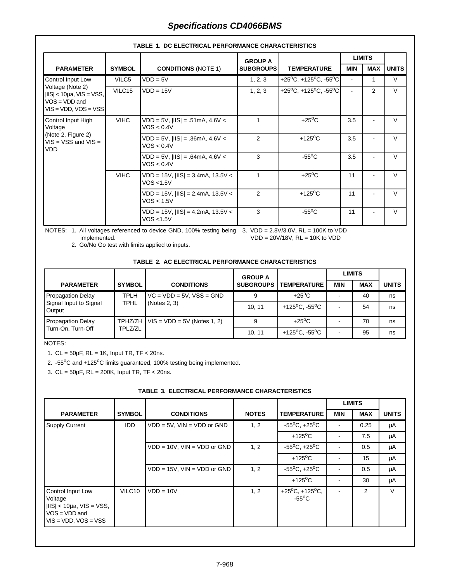|                                                                                                |               |                                                       | <b>GROUP A</b>                                      |                                                      | <b>LIMITS</b>         |                |              |
|------------------------------------------------------------------------------------------------|---------------|-------------------------------------------------------|-----------------------------------------------------|------------------------------------------------------|-----------------------|----------------|--------------|
| <b>PARAMETER</b>                                                                               | <b>SYMBOL</b> | <b>CONDITIONS (NOTE 1)</b>                            | <b>SUBGROUPS</b>                                    | <b>TEMPERATURE</b>                                   | <b>MIN</b>            | <b>MAX</b>     | <b>UNITS</b> |
| Control Input Low                                                                              | VILC5         | $VDD = 5V$                                            | 1, 2, 3                                             | $+25^{\circ}$ C, +125 $^{\circ}$ C, -55 $^{\circ}$ C |                       |                | V            |
| Voltage (Note 2)<br>$ IIS  < 10\mu$ a, VIS = VSS,<br>$VOS = VDD$ and<br>$VIS = VDD, VOS = VSS$ | VILC15        | $VDD = 15V$                                           | 1, 2, 3                                             | +25°C, +125°C, -55°C                                 |                       | $\overline{2}$ | $\vee$       |
| Control Input High<br>Voltage<br>(Note 2, Figure 2)<br>$VIS = VSS$ and $VIS =$                 | <b>VIHC</b>   | $VDD = 5V$ , $ IIS  = .51mA$ , 4.6V <<br>VOS < 0.4V   | 1                                                   | $+25^{\circ}$ C                                      | 3.5                   |                | $\vee$       |
|                                                                                                | VDD.          |                                                       | $VDD = 5V$ , $ IIS  = .36mA$ , 4.6V <<br>VOS < 0.4V | $\overline{2}$                                       | $+125$ <sup>o</sup> C | 3.5            |              |
|                                                                                                | <b>VIHC</b>   | $VDD = 5V$ , $ IIS  = .64mA$ , 4.6V <<br>VOS < 0.4V   | 3                                                   | $-55^{\circ}$ C                                      | 3.5                   |                | $\vee$       |
|                                                                                                |               | $VDD = 15V$ , $ IIS  = 3.4mA$ , 13.5V <<br>VOS <1.5V  | 1                                                   | $+25^{\circ}$ C                                      | 11                    |                | $\vee$       |
|                                                                                                |               | $VDD = 15V,  IIS  = 2.4mA, 13.5V <$<br>VOS < 1.5V     | $\overline{2}$                                      | $+125$ <sup>o</sup> C                                | 11                    |                | $\vee$       |
|                                                                                                |               | $VDD = 15V$ , $ IIS  = 4.2mA$ , 13.5V <<br>VOS < 1.5V | 3                                                   | $-55^{\circ}$ C                                      | 11                    |                | $\vee$       |

## **TABLE 1. DC ELECTRICAL PERFORMANCE CHARACTERISTICS**

NOTES: 1. All voltages referenced to device GND, 100% testing being 3. VDD = 2.8V/3.0V, RL = 100K to VDD implemented. VDD = 20V/18V, RL = 10K to VDD

2. Go/No Go test with limits applied to inputs.

#### **TABLE 2. AC ELECTRICAL PERFORMANCE CHARACTERISTICS**

|                                  |               |                                             | <b>GROUP A</b>   |                                         |            | <b>LIMITS</b> |              |
|----------------------------------|---------------|---------------------------------------------|------------------|-----------------------------------------|------------|---------------|--------------|
| <b>PARAMETER</b>                 | <b>SYMBOL</b> | <b>CONDITIONS</b>                           | <b>SUBGROUPS</b> | <b>TEMPERATURE</b>                      | <b>MIN</b> | <b>MAX</b>    | <b>UNITS</b> |
| <b>Propagation Delay</b>         | <b>TPLH</b>   | $VC = VDD = 5V$ , $VSS = GND$               |                  | $+25^{\circ}$ C                         |            | 40            | ns           |
| Signal Input to Signal<br>Output | <b>TPHL</b>   | (Notes 2, 3)                                | 10.11            | +125 <sup>o</sup> C, -55 <sup>o</sup> C |            | 54            | ns           |
| Propagation Delay                |               | TPHZ/ZH $\vert$ VIS = VDD = 5V (Notes 1, 2) |                  | $+25^{\circ}$ C                         |            | 70            | ns           |
| Turn-On, Turn-Off                | TPLZ/ZL       |                                             | 10.11            | +125 <sup>o</sup> C, -55 <sup>o</sup> C |            | 95            | ns           |

NOTES:

1.  $CL = 50pF$ ,  $RL = 1K$ , Input TR, TF < 20ns.

2. -55°C and +125°C limits guaranteed, 100% testing being implemented.

3. CL = 50pF, RL = 200K, Input TR, TF < 20ns.

| TABLE 3. ELECTRICAL PERFORMANCE CHARACTERISTICS |  |  |  |  |  |
|-------------------------------------------------|--|--|--|--|--|
|-------------------------------------------------|--|--|--|--|--|

|                                                                                                            |               |                                    |              |                                                       |                          | <b>LIMITS</b> |              |
|------------------------------------------------------------------------------------------------------------|---------------|------------------------------------|--------------|-------------------------------------------------------|--------------------------|---------------|--------------|
| <b>PARAMETER</b>                                                                                           | <b>SYMBOL</b> | <b>CONDITIONS</b>                  | <b>NOTES</b> | <b>TEMPERATURE</b>                                    | <b>MIN</b>               | <b>MAX</b>    | <b>UNITS</b> |
| <b>Supply Current</b>                                                                                      | <b>IDD</b>    | $VDD = 5V$ , $VIN = VDD$ or GND    | 1, 2         | $-55^{\circ}$ C, $+25^{\circ}$ C                      | $\overline{\phantom{0}}$ | 0.25          | μA           |
|                                                                                                            |               |                                    |              | $+125$ <sup>o</sup> C                                 |                          | 7.5           | μA           |
|                                                                                                            |               | $VDD = 10V$ , $VIN = VDD$ or $GND$ | 1, 2         | $-55^{\circ}$ C, $+25^{\circ}$ C                      |                          | 0.5           | μA           |
|                                                                                                            |               |                                    |              | $+125$ <sup>o</sup> C                                 |                          | 15            | μA           |
|                                                                                                            |               | $VDD = 15V$ , $VIN = VDD$ or GND   | 1, 2         | $-55^{\circ}$ C, $+25^{\circ}$ C                      |                          | 0.5           | μA           |
|                                                                                                            |               |                                    |              | $+125$ <sup>o</sup> C                                 |                          | 30            | μA           |
| Control Input Low<br>Voltage<br>$ IIS  < 10\mu$ a, VIS = VSS,<br>$VOS = VDD$ and<br>$VIS = VDD, VOS = VSS$ | VILC10        | $VDD = 10V$                        | 1, 2         | $+25^{\circ}$ C, $+125^{\circ}$ C,<br>$-55^{\circ}$ C |                          | 2             | V            |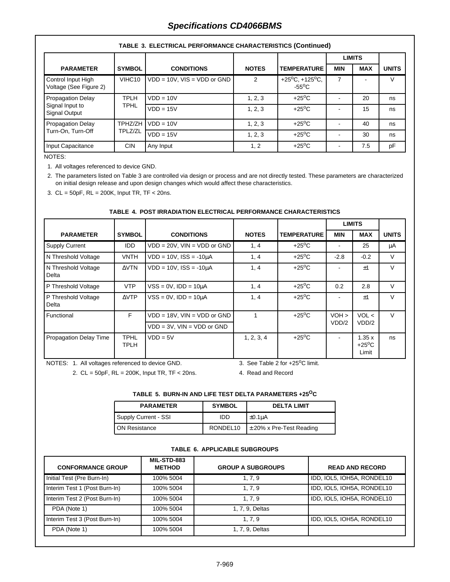|                                              |               |                                  |              |                                                         | <b>LIMITS</b> |            |              |
|----------------------------------------------|---------------|----------------------------------|--------------|---------------------------------------------------------|---------------|------------|--------------|
| <b>PARAMETER</b>                             | <b>SYMBOL</b> | <b>CONDITIONS</b>                | <b>NOTES</b> | <b>TEMPERATURE</b>                                      | <b>MIN</b>    | <b>MAX</b> | <b>UNITS</b> |
| Control Input High<br>Voltage (See Figure 2) | VIHC10        | $VDD = 10V$ , $VIS = VDD$ or GND | 2            | +25 $^{\circ}$ C, +125 $^{\circ}$ C,<br>$-55^{\circ}$ C |               |            | V            |
| Propagation Delay                            | <b>TPLH</b>   | $VDD = 10V$                      | 1, 2, 3      | $+25^{\circ}$ C                                         |               | 20         | ns           |
| Signal Input to<br>Signal Output             | <b>TPHL</b>   | $VDD = 15V$                      | 1, 2, 3      | $+25^{\circ}$ C                                         |               | 15         | ns           |
| <b>Propagation Delay</b>                     | TPHZ/ZH       | $VDD = 10V$                      | 1, 2, 3      | $+25^{\circ}$ C                                         |               | 40         | ns           |
| Turn-On, Turn-Off<br>TPLZ/ZL                 |               | $VDD = 15V$                      | 1, 2, 3      | $+25^{\circ}$ C                                         |               | 30         | ns           |
| Input Capacitance                            | <b>CIN</b>    | Any Input                        | 1, 2         | $+25^{\circ}$ C                                         |               | 7.5        | pF           |

#### **TABLE 3. ELECTRICAL PERFORMANCE CHARACTERISTICS (Continued)**

NOTES:

1. All voltages referenced to device GND.

2. The parameters listed on Table 3 are controlled via design or process and are not directly tested. These parameters are characterized on initial design release and upon design changes which would affect these characteristics.

3. CL = 50pF, RL = 200K, Input TR, TF < 20ns.

#### **TABLE 4. POST IRRADIATION ELECTRICAL PERFORMANCE CHARACTERISTICS**

|                               |                     |                                                                         |              |                    |                  | <b>LIMITS</b>                     |              |
|-------------------------------|---------------------|-------------------------------------------------------------------------|--------------|--------------------|------------------|-----------------------------------|--------------|
| <b>PARAMETER</b>              | <b>SYMBOL</b>       | <b>CONDITIONS</b>                                                       | <b>NOTES</b> | <b>TEMPERATURE</b> | MIN              | <b>MAX</b>                        | <b>UNITS</b> |
| <b>Supply Current</b>         | <b>IDD</b>          | $VDD = 20V$ , $VIN = VDD$ or $GND$                                      | 1, 4         | $+25^{\circ}$ C    |                  | 25                                | μA           |
| N Threshold Voltage           | VNTH                | $VDD = 10V$ , $ISS = -10\mu A$                                          | 1, 4         | $+25^{\circ}$ C    | $-2.8$           | $-0.2$                            | $\vee$       |
| N Threshold Voltage<br>Delta  | $\triangle VTN$     | $VDD = 10V$ , $ISS = -10\mu A$                                          | 1, 4         | $+25^{\circ}$ C    |                  | $+1$                              | $\vee$       |
| P Threshold Voltage           | <b>VTP</b>          | $VSS = 0V$ , $IDD = 10\mu A$                                            | 1, 4         | $+25^{\circ}$ C    | 0.2              | 2.8                               | $\vee$       |
| P Threshold Voltage<br>Delta  | $\triangle VTP$     | $VSS = 0V$ , $IDD = 10\mu A$                                            | 1, 4         | $+25^{\circ}$ C    |                  | $+1$                              | $\vee$       |
| Functional                    | F.                  | $VDD = 18V$ , $VIN = VDD$ or $GND$<br>$VDD = 3V$ , $VIN = VDD$ or $GND$ |              | $+25^{\circ}$ C    | $VOH$ ><br>VDD/2 | VOL <<br>VDD/2                    | $\vee$       |
| <b>Propagation Delay Time</b> | <b>TPHL</b><br>TPLH | $VDD = 5V$                                                              | 1, 2, 3, 4   | $+25^{\circ}$ C    |                  | 1.35x<br>$+25^{\circ}$ C<br>Limit | ns           |

NOTES: 1. All voltages referenced to device GND.

2. CL = 50pF, RL = 200K, Input TR, TF < 20ns.

3. See Table 2 for  $+25^{\circ}$ C limit.

4. Read and Record

#### **TABLE 5. BURN-IN AND LIFE TEST DELTA PARAMETERS +25OC**

| <b>PARAMETER</b>     | <b>SYMBOL</b> | <b>DELTA LIMIT</b>           |
|----------------------|---------------|------------------------------|
| Supply Current - SSI | IDD           | $1 \pm 0.1$ uA               |
| <b>ON Resistance</b> | RONDEL10      | $\pm$ 20% x Pre-Test Reading |

#### **TABLE 6. APPLICABLE SUBGROUPS**

| <b>CONFORMANCE GROUP</b>      | MIL-STD-883<br><b>METHOD</b> | <b>GROUP A SUBGROUPS</b> | <b>READ AND RECORD</b>     |
|-------------------------------|------------------------------|--------------------------|----------------------------|
| Initial Test (Pre Burn-In)    | 100% 5004                    | 1, 7, 9                  | IDD, IOL5, IOH5A, RONDEL10 |
| Interim Test 1 (Post Burn-In) | 100% 5004                    | 1, 7, 9                  | IDD, IOL5, IOH5A, RONDEL10 |
| Interim Test 2 (Post Burn-In) | 100% 5004                    | 1, 7, 9                  | IDD, IOL5, IOH5A, RONDEL10 |
| PDA (Note 1)                  | 100% 5004                    | 1, 7, 9, Deltas          |                            |
| Interim Test 3 (Post Burn-In) | 100% 5004                    | 1, 7, 9                  | IDD, IOL5, IOH5A, RONDEL10 |
| PDA (Note 1)                  | 100% 5004                    | 1, 7, 9, Deltas          |                            |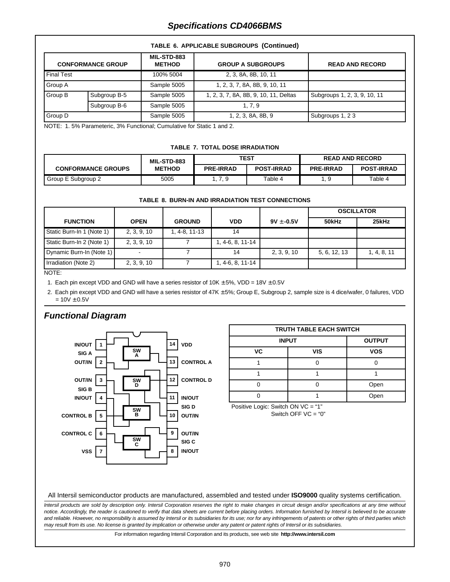|                   | TABLE 6. APPLICABLE SUBGROUPS (Continued) |                              |                                       |                              |  |
|-------------------|-------------------------------------------|------------------------------|---------------------------------------|------------------------------|--|
|                   | <b>CONFORMANCE GROUP</b>                  | MIL-STD-883<br><b>METHOD</b> | <b>GROUP A SUBGROUPS</b>              | <b>READ AND RECORD</b>       |  |
| <b>Final Test</b> |                                           | 100% 5004                    | 2, 3, 8A, 8B, 10, 11                  |                              |  |
| Group A           |                                           | Sample 5005                  | 1, 2, 3, 7, 8A, 8B, 9, 10, 11         |                              |  |
| Group B           | Subgroup B-5                              | Sample 5005                  | 1, 2, 3, 7, 8A, 8B, 9, 10, 11, Deltas | Subgroups 1, 2, 3, 9, 10, 11 |  |
|                   | Subgroup B-6                              | Sample 5005                  | 1, 7, 9                               |                              |  |

Group D Sample 5005 | 1, 2, 3, 8A, 8B, 9 | Subgroups 1, 2 3

NOTE: 1. 5% Parameteric, 3% Functional; Cumulative for Static 1 and 2.

#### **TABLE 7. TOTAL DOSE IRRADIATION**

|                           | MIL-STD-883   | <b>TEST</b>      |                   | <b>READ AND RECORD</b> |                   |
|---------------------------|---------------|------------------|-------------------|------------------------|-------------------|
| <b>CONFORMANCE GROUPS</b> | <b>METHOD</b> | <b>PRE-IRRAD</b> | <b>POST-IRRAD</b> | <b>PRE-IRRAD</b>       | <b>POST-IRRAD</b> |
| Group E Subgroup 2        | 5005          | ., 7, 9          | Table 4           |                        | Table 4           |

#### **TABLE 8. BURN-IN AND IRRADIATION TEST CONNECTIONS**

|                           |             |               |                  |                | <b>OSCILLATOR</b> |             |
|---------------------------|-------------|---------------|------------------|----------------|-------------------|-------------|
| <b>FUNCTION</b>           | <b>OPEN</b> | <b>GROUND</b> | <b>VDD</b>       | $9V \pm -0.5V$ | 50kHz             | 25kHz       |
| Static Burn-In 1 (Note 1) | 2, 3, 9, 10 | 1, 4-8, 11-13 | 14               |                |                   |             |
| Static Burn-In 2 (Note 1) | 2, 3, 9, 10 |               | 1, 4-6, 8, 11-14 |                |                   |             |
| Dynamic Burn-In (Note 1)  |             |               |                  | 2, 3, 9, 10    | 5, 6, 12, 13      | 1, 4, 8, 11 |
| Irradiation (Note 2)      | 2, 3, 9, 10 |               | 1, 4-6, 8, 11-14 |                |                   |             |

NOTE:

1. Each pin except VDD and GND will have a series resistor of  $10K \pm 5\%$ , VDD =  $18V \pm 0.5V$ 

2. Each pin except VDD and GND will have a series resistor of 47K ± 5%; Group E, Subgroup 2, sample size is 4 dice/wafer, 0 failures, VDD  $= 10V \pm 0.5V$ 

# **Functional Diagram**



| <b>TRUTH TABLE EACH SWITCH</b> |               |            |  |  |
|--------------------------------|---------------|------------|--|--|
| <b>INPUT</b>                   | <b>OUTPUT</b> |            |  |  |
| VC                             | <b>VIS</b>    | <b>VOS</b> |  |  |
|                                |               |            |  |  |
|                                |               |            |  |  |
|                                |               | Open       |  |  |
|                                |               | pen        |  |  |

Positive Logic: Switch ON VC = "1" Switch OFF  $VC = "0"$ 

All Intersil semiconductor products are manufactured, assembled and tested under **ISO9000** quality systems certification.

Intersil products are sold by description only. Intersil Corporation reserves the right to make changes in circuit design and/or specifications at any time without notice. Accordingly, the reader is cautioned to verify that data sheets are current before placing orders. Information furnished by Intersil is believed to be accurate and reliable. However, no responsibility is assumed by Intersil or its subsidiaries for its use; nor for any infringements of patents or other rights of third parties which may result from its use. No license is granted by implication or otherwise under any patent or patent rights of Intersil or its subsidiaries.

For information regarding Intersil Corporation and its products, see web site **http://www.intersil.com**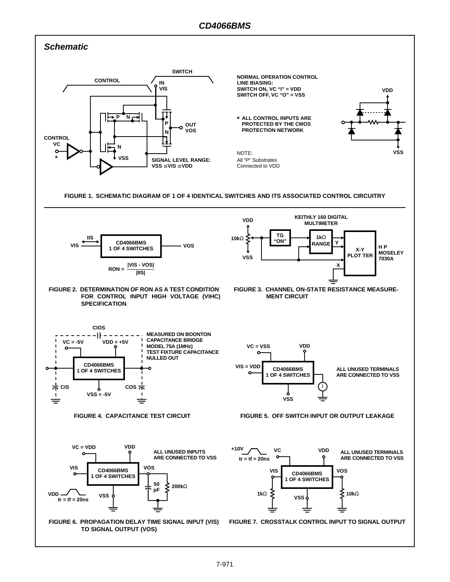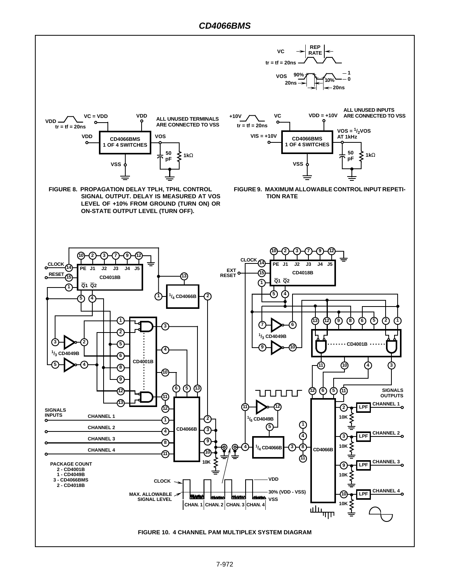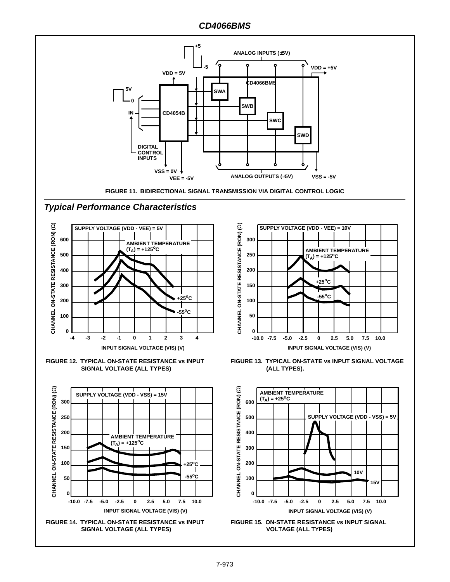# **CD4066BMS**





**FIGURE 12. TYPICAL ON-STATE RESISTANCE vs INPUT SIGNAL VOLTAGE (ALL TYPES)**





**FIGURE 13. TYPICAL ON-STATE vs INPUT SIGNAL VOLTAGE (ALL TYPES).**